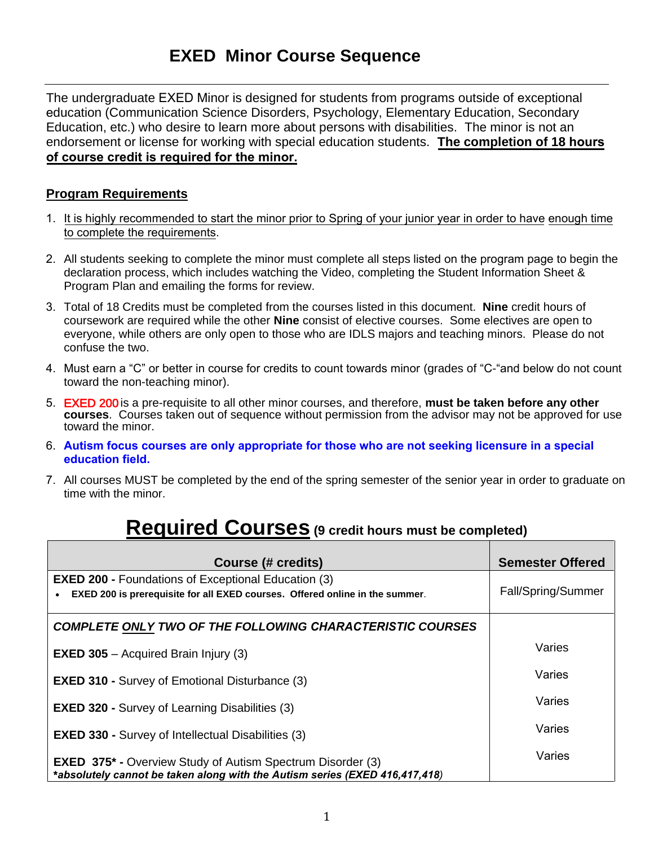## **EXED Minor Course Sequence**

The undergraduate EXED Minor is designed for students from programs outside of exceptional education (Communication Science Disorders, Psychology, Elementary Education, Secondary Education, etc.) who desire to learn more about persons with disabilities. The minor is not an endorsement or license for working with special education students. **The completion of 18 hours of course credit is required for the minor.**

## **Program Requirements**

- 1. It is highly recommended to start the minor prior to Spring of your junior year in order to have enough time to complete the requirements.
- 2. All students seeking to complete the minor must complete all steps listed on the program page to begin the declaration process, which includes watching the Video, completing the Student Information Sheet & Program Plan and emailing the forms for review.
- 3. Total of 18 Credits must be completed from the courses listed in this document. **Nine** credit hours of coursework are required while the other **Nine** consist of elective courses. Some electives are open to everyone, while others are only open to those who are IDLS majors and teaching minors. Please do not confuse the two.
- 4. Must earn a "C" or better in course for credits to count towards minor (grades of "C-"and below do not count toward the non-teaching minor).
- 5. EXED 200 is a pre-requisite to all other minor courses, and therefore, **must be taken before any other courses**. Courses taken out of sequence without permission from the advisor may not be approved for use toward the minor.
- 6. **Autism focus courses are only appropriate for those who are not seeking licensure in a special education field.**
- 7. All courses MUST be completed by the end of the spring semester of the senior year in order to graduate on time with the minor.

## **Required Courses (9 credit hours must be completed)**

| Course (# credits)                                                                                                                               | <b>Semester Offered</b> |
|--------------------------------------------------------------------------------------------------------------------------------------------------|-------------------------|
| <b>EXED 200 - Foundations of Exceptional Education (3)</b><br>EXED 200 is prerequisite for all EXED courses. Offered online in the summer.       | Fall/Spring/Summer      |
| <b>COMPLETE ONLY TWO OF THE FOLLOWING CHARACTERISTIC COURSES</b>                                                                                 |                         |
| <b>EXED 305</b> – Acquired Brain Injury $(3)$                                                                                                    | Varies                  |
| <b>EXED 310 - Survey of Emotional Disturbance (3)</b>                                                                                            | Varies                  |
| <b>EXED 320 - Survey of Learning Disabilities (3)</b>                                                                                            | Varies                  |
| <b>EXED 330 - Survey of Intellectual Disabilities (3)</b>                                                                                        | Varies                  |
| <b>EXED 375* - Overview Study of Autism Spectrum Disorder (3)</b><br>*absolutely cannot be taken along with the Autism series (EXED 416,417,418) | Varies                  |